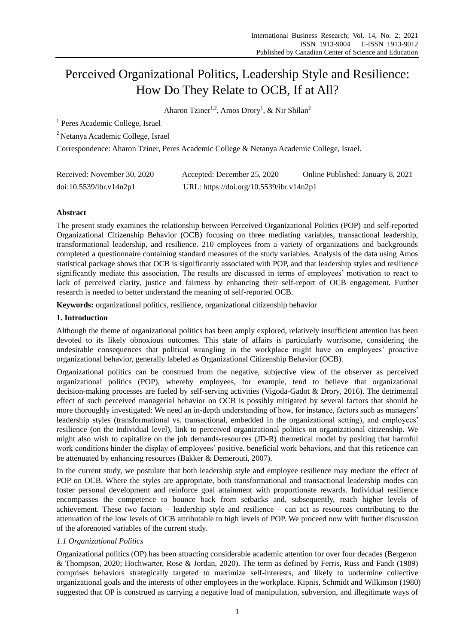# Perceived Organizational Politics, Leadership Style and Resilience: How Do They Relate to OCB, If at All?

Aharon Tziner<sup>1,2</sup>, Amos Drory<sup>1</sup>, & Nir Shilan<sup>2</sup>

<sup>1</sup> Peres Academic College, Israel

<sup>2</sup>Netanya Academic College, Israel

Correspondence: Aharon Tziner, Peres Academic College & Netanya Academic College, Israel.

| Received: November 30, 2020 | Accepted: December 25, 2020              | Online Published: January 8, 2021 |
|-----------------------------|------------------------------------------|-----------------------------------|
| doi:10.5539/ibr.v14n2p1     | URL: https://doi.org/10.5539/ibr.v14n2p1 |                                   |

# **Abstract**

The present study examines the relationship between Perceived Organizational Politics (POP) and self-reported Organizational Citizenship Behavior (OCB) focusing on three mediating variables, transactional leadership, transformational leadership, and resilience. 210 employees from a variety of organizations and backgrounds completed a questionnaire containing standard measures of the study variables. Analysis of the data using Amos statistical package shows that OCB is significantly associated with POP, and that leadership styles and resilience significantly mediate this association. The results are discussed in terms of employees' motivation to react to lack of perceived clarity, justice and fairness by enhancing their self-report of OCB engagement. Further research is needed to better understand the meaning of self-reported OCB.

**Keywords:** organizational politics, resilience, organizational citizenship behavior

## **1. Introduction**

Although the theme of organizational politics has been amply explored, relatively insufficient attention has been devoted to its likely obnoxious outcomes. This state of affairs is particularly worrisome, considering the undesirable consequences that political wrangling in the workplace might have on employees' proactive organizational behavior, generally labeled as Organizational Citizenship Behavior (OCB).

Organizational politics can be construed from the negative, subjective view of the observer as perceived organizational politics (POP), whereby employees, for example, tend to believe that organizational decision-making processes are fueled by self-serving activities (Vigoda-Gadot & Drory, 2016). The detrimental effect of such perceived managerial behavior on OCB is possibly mitigated by several factors that should be more thoroughly investigated: We need an in-depth understanding of how, for instance, factors such as managers' leadership styles (transformational vs. transactional, embedded in the organizational setting), and employees' resilience (on the individual level), link to perceived organizational politics on organizational citizenship. We might also wish to capitalize on the job demands-resources (JD-R) theoretical model by positing that harmful work conditions hinder the display of employees' positive, beneficial work behaviors, and that this reticence can be attenuated by enhancing resources (Bakker & Demerouti, 2007).

In the current study, we postulate that both leadership style and employee resilience may mediate the effect of POP on OCB. Where the styles are appropriate, both transformational and transactional leadership modes can foster personal development and reinforce goal attainment with proportionate rewards. Individual resilience encompasses the competence to bounce back from setbacks and, subsequently, reach higher levels of achievement. These two factors – leadership style and resilience – can act as resources contributing to the attenuation of the low levels of OCB attributable to high levels of POP. We proceed now with further discussion of the aforenoted variables of the current study.

# *1.1 Organizational Politics*

Organizational politics (OP) has been attracting considerable academic attention for over four decades (Bergeron & Thompson, 2020; Hochwarter, Rose & Jordan, 2020). The term as defined by Ferris, Russ and Fandt (1989) comprises behaviors strategically targeted to maximize self-interests, and likely to undermine collective organizational goals and the interests of other employees in the workplace. Kipnis, Schmidt and Wilkinson (1980) suggested that OP is construed as carrying a negative load of manipulation, subversion, and illegitimate ways of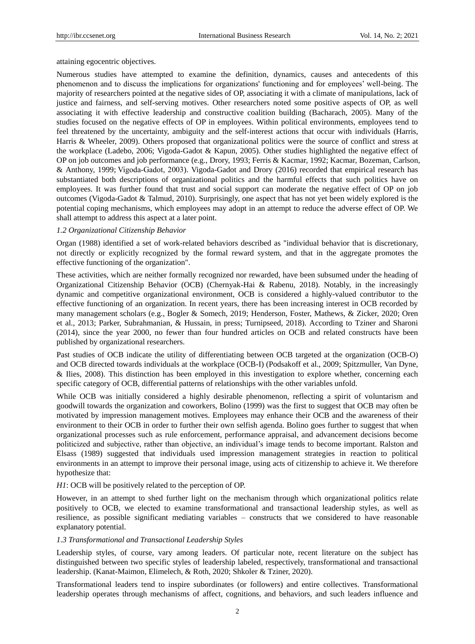attaining egocentric objectives.

Numerous studies have attempted to examine the definition, dynamics, causes and antecedents of this phenomenon and to discuss the implications for organizations' functioning and for employees' well-being. The majority of researchers pointed at the negative sides of OP, associating it with a climate of manipulations, lack of justice and fairness, and self-serving motives. Other researchers noted some positive aspects of OP, as well associating it with effective leadership and constructive coalition building (Bacharach, 2005). Many of the studies focused on the negative effects of OP in employees. Within political environments, employees tend to feel threatened by the uncertainty, ambiguity and the self-interest actions that occur with individuals (Harris, Harris & Wheeler, 2009). Others proposed that organizational politics were the source of conflict and stress at the workplace (Ladebo, 2006; Vigoda-Gadot & Kapun, 2005). Other studies highlighted the negative effect of OP on job outcomes and job performance (e.g., [Drory, 1993;](https://onlinelibrary.wiley.com/doi/full/10.1111/j.1559-1816.2010.00683.x?casa_token=Tz-Ig6cSme4AAAAA%3A__8s2u8boCdWp11moH_3RrpWd3RmfXaqDZafkGJWsIU24v0f5lFoRMzLfyh2shneiXUYbVrPZEQpmUBW#b28) [Ferris & Kacmar, 1992;](https://onlinelibrary.wiley.com/doi/full/10.1111/j.1559-1816.2010.00683.x?casa_token=Tz-Ig6cSme4AAAAA%3A__8s2u8boCdWp11moH_3RrpWd3RmfXaqDZafkGJWsIU24v0f5lFoRMzLfyh2shneiXUYbVrPZEQpmUBW#b32) [Kacmar, Bozeman, Carlson,](https://onlinelibrary.wiley.com/doi/full/10.1111/j.1559-1816.2010.00683.x?casa_token=Tz-Ig6cSme4AAAAA%3A__8s2u8boCdWp11moH_3RrpWd3RmfXaqDZafkGJWsIU24v0f5lFoRMzLfyh2shneiXUYbVrPZEQpmUBW#b46)  [& Anthony, 1999;](https://onlinelibrary.wiley.com/doi/full/10.1111/j.1559-1816.2010.00683.x?casa_token=Tz-Ig6cSme4AAAAA%3A__8s2u8boCdWp11moH_3RrpWd3RmfXaqDZafkGJWsIU24v0f5lFoRMzLfyh2shneiXUYbVrPZEQpmUBW#b46) [Vigoda‐Gadot, 2003\)](https://onlinelibrary.wiley.com/doi/full/10.1111/j.1559-1816.2010.00683.x?casa_token=Tz-Ig6cSme4AAAAA%3A__8s2u8boCdWp11moH_3RrpWd3RmfXaqDZafkGJWsIU24v0f5lFoRMzLfyh2shneiXUYbVrPZEQpmUBW#b81). Vigoda-Gadot and Drory (2016) recorded that empirical research has substantiated both descriptions of organizational politics and the harmful effects that such politics have on employees. It was further found that trust and social support can moderate the negative effect of OP on job outcomes (Vigoda-Gadot & Talmud, 2010). Surprisingly, one aspect that has not yet been widely explored is the potential coping mechanisms, which employees may adopt in an attempt to reduce the adverse effect of OP. We shall attempt to address this aspect at a later point.

# *1.2 Organizational Citizenship Behavior*

Organ (1988) identified a set of work-related behaviors described as "individual behavior that is discretionary, not directly or explicitly recognized by the formal reward system, and that in the aggregate promotes the effective functioning of the organization".

These activities, which are neither formally recognized nor rewarded, have been subsumed under the heading of Organizational Citizenship Behavior (OCB) (Chernyak-Hai & Rabenu, 2018). Notably, in the increasingly dynamic and competitive organizational environment, OCB is considered a highly-valued contributor to the effective functioning of an organization. In recent years, there has been increasing interest in OCB recorded by many management scholars (e.g., Bogler & Somech, 2019; Henderson, Foster, Mathews, & Zicker, 2020; Oren et al., 2013; Parker, Subrahmanian, & Hussain, in press; Turnipseed, 2018). According to Tziner and Sharoni (2014), since the year 2000, no fewer than four hundred articles on OCB and related constructs have been published by organizational researchers.

Past studies of OCB indicate the utility of differentiating between OCB targeted at the organization (OCB-O) and OCB directed towards individuals at the workplace (OCB-I) (Podsakoff et al., 2009; Spitzmuller, Van Dyne, & Ilies, 2008). This distinction has been employed in this investigation to explore whether, concerning each specific category of OCB, differential patterns of relationships with the other variables unfold.

While OCB was initially considered a highly desirable phenomenon, reflecting a spirit of voluntarism and goodwill towards the organization and coworkers, Bolino (1999) was the first to suggest that OCB may often be motivated by impression management motives. Employees may enhance their OCB and the awareness of their environment to their OCB in order to further their own selfish agenda. Bolino goes further to suggest that when organizational processes such as rule enforcement, performance appraisal, and advancement decisions become politicized and subjective, rather than objective, an individual's image tends to become important. Ralston and Elsass (1989) suggested that individuals used impression management strategies in reaction to political environments in an attempt to improve their personal image, using acts of citizenship to achieve it. We therefore hypothesize that:

#### *H1*: OCB will be positively related to the perception of OP.

However, in an attempt to shed further light on the mechanism through which organizational politics relate positively to OCB, we elected to examine transformational and transactional leadership styles, as well as resilience, as possible significant mediating variables – constructs that we considered to have reasonable explanatory potential.

## *1.3 Transformational and Transactional Leadership Styles*

Leadership styles, of course, vary among leaders. Of particular note, recent literature on the subject has distinguished between two specific styles of leadership labeled, respectively, transformational and transactional leadership. (Kanat-Maimon, Elimelech, & Roth, 2020; Shkoler & Tziner, 2020).

Transformational leaders tend to inspire subordinates (or followers) and entire collectives. Transformational leadership operates through mechanisms of affect, cognitions, and behaviors, and such leaders influence and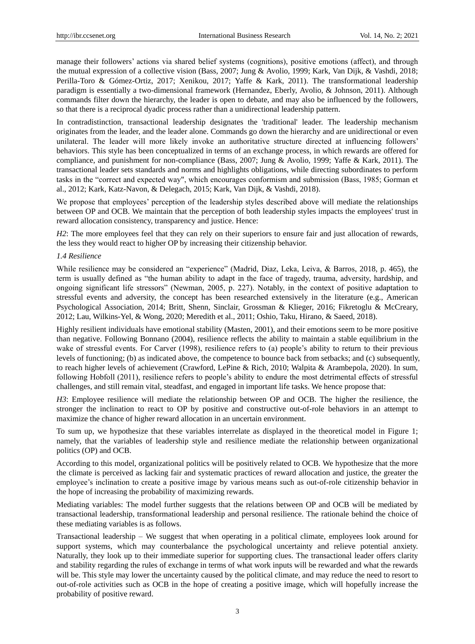manage their followers' actions via shared belief systems (cognitions), positive emotions (affect), and through the mutual expression of a collective vision (Bass, 2007; Jung & Avolio, 1999; Kark, Van Dijk, & Vashdi, 2018; Perilla-Toro & Gómez-Ortiz, 2017; Xenikou, 2017; Yaffe & Kark, 2011). The transformational leadership paradigm is essentially a two-dimensional framework (Hernandez, Eberly, Avolio, & Johnson, 2011). Although commands filter down the hierarchy, the leader is open to debate, and may also be influenced by the followers, so that there is a reciprocal dyadic process rather than a unidirectional leadership pattern.

In contradistinction, transactional leadership designates the 'traditional' leader. The leadership mechanism originates from the leader, and the leader alone. Commands go down the hierarchy and are unidirectional or even unilateral. The leader will more likely invoke an authoritative structure directed at influencing followers' behaviors. This style has been conceptualized in terms of an exchange process, in which rewards are offered for compliance, and punishment for non-compliance (Bass, 2007; Jung & Avolio, 1999; Yaffe & Kark, 2011). The transactional leader sets standards and norms and highlights obligations, while directing subordinates to perform tasks in the "correct and expected way", which encourages conformism and submission (Bass, 1985; Gorman et al., 2012; Kark, Katz-Navon, & Delegach, 2015; Kark, Van Dijk, & Vashdi, 2018).

We propose that employees' perception of the leadership styles described above will mediate the relationships between OP and OCB. We maintain that the perception of both leadership styles impacts the employees' trust in reward allocation consistency, transparency and justice. Hence:

*H2*: The more employees feel that they can rely on their superiors to ensure fair and just allocation of rewards, the less they would react to higher OP by increasing their citizenship behavior.

## *1.4 Resilience*

While resilience may be considered an "experience" (Madrid, Diaz, Leka, Leiva, & Barros, 2018, p. 465), the term is usually defined as "the human ability to adapt in the face of tragedy, trauma, adversity, hardship, and ongoing significant life stressors‖ (Newman, 2005, p. 227). Notably, in the context of positive adaptation to stressful events and adversity, the concept has been researched extensively in the literature (e.g., American Psychological Association, 2014; Britt, Shenn, Sinclair, Grossman & Klieger, 2016; Fikretoglu & McCreary, 2012; Lau, Wilkins-Yel, & Wong, 2020; Meredith et al., 2011; Oshio, Taku, Hirano, & Saeed, 2018).

Highly resilient individuals have emotional stability (Masten, 2001), and their emotions seem to be more positive than negative. Following Bonnano (2004), resilience reflects the ability to maintain a stable equilibrium in the wake of stressful events. For Carver (1998), resilience refers to (a) people's ability to return to their previous levels of functioning; (b) as indicated above, the competence to bounce back from setbacks; and (c) subsequently, to reach higher levels of achievement (Crawford, LePine & Rich, 2010; Walpita & Arambepola, 2020). In sum, following Hobfoll (2011), resilience refers to people's ability to endure the most detrimental effects of stressful challenges, and still remain vital, steadfast, and engaged in important life tasks. We hence propose that:

*H3*: Employee resilience will mediate the relationship between OP and OCB. The higher the resilience, the stronger the inclination to react to OP by positive and constructive out-of-role behaviors in an attempt to maximize the chance of higher reward allocation in an uncertain environment.

To sum up, we hypothesize that these variables interrelate as displayed in the theoretical model in Figure 1; namely, that the variables of leadership style and resilience mediate the relationship between organizational politics (OP) and OCB.

According to this model, organizational politics will be positively related to OCB. We hypothesize that the more the climate is perceived as lacking fair and systematic practices of reward allocation and justice, the greater the employee's inclination to create a positive image by various means such as out-of-role citizenship behavior in the hope of increasing the probability of maximizing rewards.

Mediating variables: The model further suggests that the relations between OP and OCB will be mediated by transactional leadership, transformational leadership and personal resilience. The rationale behind the choice of these mediating variables is as follows.

Transactional leadership – We suggest that when operating in a political climate, employees look around for support systems, which may counterbalance the psychological uncertainty and relieve potential anxiety. Naturally, they look up to their immediate superior for supporting clues. The transactional leader offers clarity and stability regarding the rules of exchange in terms of what work inputs will be rewarded and what the rewards will be. This style may lower the uncertainty caused by the political climate, and may reduce the need to resort to out-of-role activities such as OCB in the hope of creating a positive image, which will hopefully increase the probability of positive reward.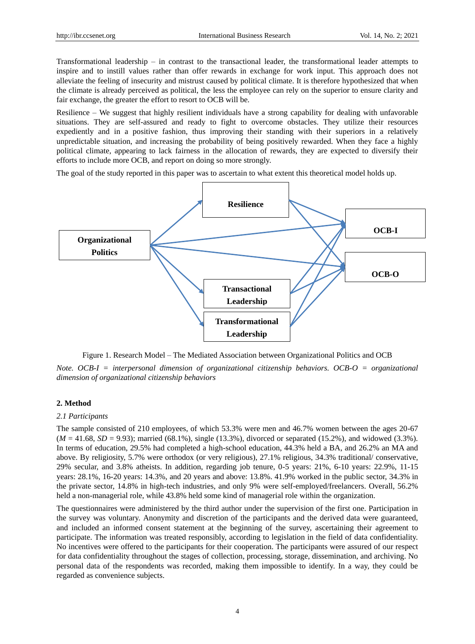Transformational leadership – in contrast to the transactional leader, the transformational leader attempts to inspire and to instill values rather than offer rewards in exchange for work input. This approach does not alleviate the feeling of insecurity and mistrust caused by political climate. It is therefore hypothesized that when the climate is already perceived as political, the less the employee can rely on the superior to ensure clarity and fair exchange, the greater the effort to resort to OCB will be.

Resilience – We suggest that highly resilient individuals have a strong capability for dealing with unfavorable situations. They are self-assured and ready to fight to overcome obstacles. They utilize their resources expediently and in a positive fashion, thus improving their standing with their superiors in a relatively unpredictable situation, and increasing the probability of being positively rewarded. When they face a highly political climate, appearing to lack fairness in the allocation of rewards, they are expected to diversify their efforts to include more OCB, and report on doing so more strongly.

The goal of the study reported in this paper was to ascertain to what extent this theoretical model holds up.



Figure 1. Research Model – The Mediated Association between Organizational Politics and OCB

*Note. OCB-I = interpersonal dimension of organizational citizenship behaviors. OCB-O = organizational dimension of organizational citizenship behaviors*

## **2. Method**

## *2.1 Participants*

The sample consisted of 210 employees, of which 53.3% were men and 46.7% women between the ages 20-67 (*M* = 41.68, *SD* = 9.93); married (68.1%), single (13.3%), divorced or separated (15.2%), and widowed (3.3%). In terms of education, 29.5% had completed a high-school education, 44.3% held a BA, and 26.2% an MA and above. By religiosity, 5.7% were orthodox (or very religious), 27.1% religious, 34.3% traditional/ conservative, 29% secular, and 3.8% atheists. In addition, regarding job tenure, 0-5 years: 21%, 6-10 years: 22.9%, 11-15 years: 28.1%, 16-20 years: 14.3%, and 20 years and above: 13.8%. 41.9% worked in the public sector, 34.3% in the private sector, 14.8% in high-tech industries, and only 9% were self-employed/freelancers. Overall, 56.2% held a non-managerial role, while 43.8% held some kind of managerial role within the organization.

The questionnaires were administered by the third author under the supervision of the first one. Participation in the survey was voluntary. Anonymity and discretion of the participants and the derived data were guaranteed, and included an informed consent statement at the beginning of the survey, ascertaining their agreement to participate. The information was treated responsibly, according to legislation in the field of data confidentiality. No incentives were offered to the participants for their cooperation. The participants were assured of our respect for data confidentiality throughout the stages of collection, processing, storage, dissemination, and archiving. No personal data of the respondents was recorded, making them impossible to identify. In a way, they could be regarded as convenience subjects.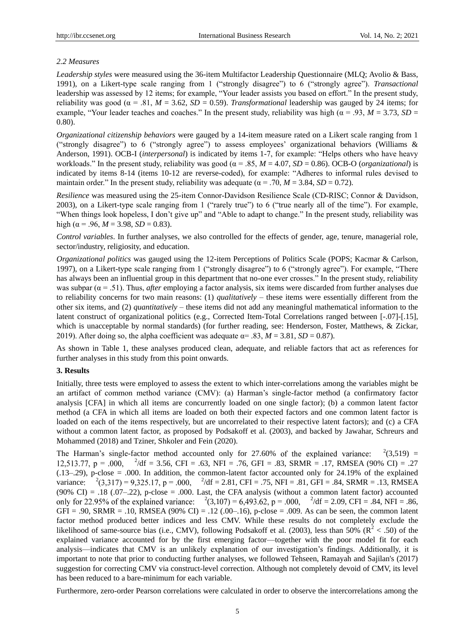## *2.2 Measures*

*Leadership styles* were measured using the 36-item Multifactor Leadership Questionnaire (MLQ; Avolio & Bass, 1991), on a Likert-type scale ranging from 1 ("strongly disagree") to 6 ("strongly agree"). *Transactional* leadership was assessed by 12 items; for example, "Your leader assists you based on effort." In the present study, reliability was good ( $\alpha = .81$ ,  $M = 3.62$ ,  $SD = 0.59$ ). *Transformational* leadership was gauged by 24 items; for example, "Your leader teaches and coaches." In the present study, reliability was high ( $\alpha$  = .93, *M* = 3.73, *SD* = 0.80).

*Organizational citizenship behaviors* were gauged by a 14-item measure rated on a Likert scale ranging from 1 ("strongly disagree") to 6 ("strongly agree") to assess employees' organizational behaviors (Williams  $\&$ Anderson, 1991). OCB-I (*interpersonal*) is indicated by items 1-7, for example: "Helps others who have heavy workloads." In the present study, reliability was good ( $\alpha = .85$ ,  $M = 4.07$ ,  $SD = 0.86$ ). OCB-O (*organizational*) is indicated by items 8-14 (items 10-12 are reverse-coded), for example: "Adheres to informal rules devised to maintain order." In the present study, reliability was adequate ( $\alpha$  = .70,  $M = 3.84$ , *SD* = 0.72).

*Resilience* was measured using the 25-item Connor‐Davidson Resilience Scale (CD‐RISC; Connor & Davidson, 2003), on a Likert-type scale ranging from 1 ("rarely true") to 6 ("true nearly all of the time"). For example, "When things look hopeless, I don't give up" and "Able to adapt to change." In the present study, reliability was high ( $\alpha$  = .96,  $M$  = 3.98, *SD* = 0.83).

*Control variables*. In further analyses, we also controlled for the effects of gender, age, tenure, managerial role, sector/industry, religiosity, and education.

*Organizational politics* was gauged using the 12-item Perceptions of Politics Scale (POPS; Kacmar & Carlson, 1997), on a Likert-type scale ranging from 1 ("strongly disagree") to 6 ("strongly agree"). For example, "There has always been an influential group in this department that no-one ever crosses." In the present study, reliability was subpar  $(\alpha = .51)$ . Thus, *after* employing a factor analysis, six items were discarded from further analyses due to reliability concerns for two main reasons: (1) *qualitatively* – these items were essentially different from the other six items, and (2) *quantitatively* – these items did not add any meaningful mathematical information to the latent construct of organizational politics (e.g., Corrected Item-Total Correlations ranged between [-.07]-[.15], which is unacceptable by normal standards) (for further reading, see: Henderson, Foster, Matthews, & Zickar, 2019). After doing so, the alpha coefficient was adequate  $\alpha$ = .83,  $M = 3.81$ ,  $SD = 0.87$ .

As shown in Table 1, these analyses produced clean, adequate, and reliable factors that act as references for further analyses in this study from this point onwards.

## **3. Results**

Initially, three tests were employed to assess the extent to which inter-correlations among the variables might be an artifact of common method variance (CMV): (a) Harman's single-factor method (a confirmatory factor analysis [CFA] in which all items are concurrently loaded on one single factor); (b) a common latent factor method (a CFA in which all items are loaded on both their expected factors and one common latent factor is loaded on each of the items respectively, but are uncorrelated to their respective latent factors); and (c) a CFA without a common latent factor, as proposed by Podsakoff et al. (2003), and backed by Jawahar, Schreurs and Mohammed (2018) and Tziner, Shkoler and Fein (2020).

The Harman's single-factor method accounted only for 27.60% of the explained variance:  $^{2}(3,519)$  =  $^{2}/df = 3.56$ , CFI = .63, NFI = .76, GFI = .83, SRMR = .17, RMSEA (90% CI) = .27 (.13–.29), p-close = .000. In addition, the common-latent factor accounted only for 24.19% of the explained variance:  ${}^{2}(3,317) = 9,325.17$ , p = .000,  ${}^{2}/df = 2.81$ , CFI = .75, NFI = .81, GFI = .84, SRMR = .13, RMSEA (90% CI) = .18 (.07–.22), p-close = .000. Last, the CFA analysis (without a common latent factor) accounted  $^{2}(3,107) = 6,493.62, p = .000,$   $^{2}/df = 2.09, CFI = .84, NFI = .86,$ only for 22.95% of the explained variance:  $GFI = .90$ , SRMR = .10, RMSEA (90% CI) = .12 (.00-.16), p-close = .009. As can be seen, the common latent factor method produced better indices and less CMV. While these results do not completely exclude the likelihood of same-source bias (i.e., CMV), following Podsakoff et al. (2003), less than 50% ( $\mathbb{R}^2$  < .50) of the explained variance accounted for by the first emerging factor—together with the poor model fit for each analysis—indicates that CMV is an unlikely explanation of our investigation's findings. Additionally, it is important to note that prior to conducting further analyses, we followed Tehseen, Ramayah and Sajilan's (2017) suggestion for correcting CMV via construct-level correction. Although not completely devoid of CMV, its level has been reduced to a bare-minimum for each variable.

Furthermore, zero-order Pearson correlations were calculated in order to observe the intercorrelations among the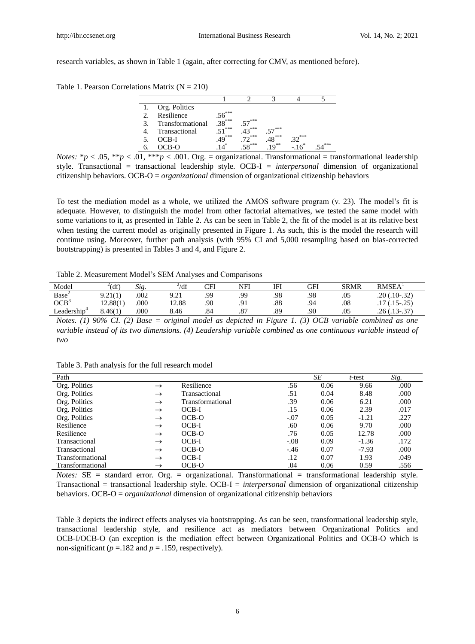research variables, as shown in Table 1 (again, after correcting for CMV, as mentioned before).

Table 1. Pearson Correlations Matrix  $(N = 210)$ 

| Org. Politics    |          |              |                   |      |      |
|------------------|----------|--------------|-------------------|------|------|
| Resilience       | -***     |              |                   |      |      |
| Transformational | $38***$  | ***          |                   |      |      |
| Transactional    | .***     | ***          | _***              |      |      |
| OCB-I            | $.49***$ | ***          | $.48***$          | -*** |      |
|                  |          | $. \sim$ *** | $\mathbf{q}^{**}$ |      | .*** |

*Notes:*  $* p < .05$ ,  $** p < .01$ ,  $** p < .001$ . Org. = organizational. Transformational = transformational leadership style. Transactional = transactional leadership style. OCB-I = *interpersonal* dimension of organizational citizenship behaviors. OCB-O = *organizational* dimension of organizational citizenship behaviors

To test the mediation model as a whole, we utilized the AMOS software program (v. 23). The model's fit is adequate. However, to distinguish the model from other factorial alternatives, we tested the same model with some variations to it, as presented in Table 2. As can be seen in Table 2, the fit of the model is at its relative best when testing the current model as originally presented in Figure 1. As such, this is the model the research will continue using. Moreover, further path analysis (with 95% CI and 5,000 resampling based on bias-corrected bootstrapping) is presented in Tables 3 and 4, and Figure 2.

#### Table 2. Measurement Model's SEM Analyses and Comparisons

| Model                  | $^{2}$ (df) | $\sim$<br>Sig. | $^{2}/df$    | CFI | NFI | IFI | GFI | <b>SRMR</b> | RMSEA <sup>T</sup> |
|------------------------|-------------|----------------|--------------|-----|-----|-----|-----|-------------|--------------------|
| Base <sup>2</sup>      | 9.21(1)     | .002           | Q 21<br>$-1$ | QQ  | .99 | .98 | .98 | .05         | $.20(.10-.32)$     |
| OCB <sup>3</sup>       | 12.88(1)    | .000           | 12.88        | .90 | .91 | .88 | .94 | .08         | $(.15-.25)$<br>.17 |
| $\cdots$<br>∟eadership | 8.46(1)     | .000           | 8.46         | .84 | .87 | .89 | .90 | .05         | $.26(.13-.37)$     |

*Notes. (1) 90% CI. (2) Base = original model as depicted in Figure 1. (3) OCB variable combined as one variable instead of its two dimensions. (4) Leadership variable combined as one continuous variable instead of two* 

| Path             |               |                  |        | SE   | $t$ -test | Sig. |
|------------------|---------------|------------------|--------|------|-----------|------|
| Org. Politics    | $\rightarrow$ | Resilience       | .56    | 0.06 | 9.66      | .000 |
| Org. Politics    | $\rightarrow$ | Transactional    | .51    | 0.04 | 8.48      | .000 |
| Org. Politics    | $\rightarrow$ | Transformational | .39    | 0.06 | 6.21      | .000 |
| Org. Politics    | $\rightarrow$ | $OCB-I$          | .15    | 0.06 | 2.39      | .017 |
| Org. Politics    | $\rightarrow$ | OCB-O            | $-.07$ | 0.05 | $-1.21$   | .227 |
| Resilience       | $\rightarrow$ | $OCB-I$          | .60    | 0.06 | 9.70      | .000 |
| Resilience       | $\rightarrow$ | OCB-O            | .76    | 0.05 | 12.78     | .000 |
| Transactional    | $\rightarrow$ | $OCB-I$          | $-.08$ | 0.09 | $-1.36$   | .172 |
| Transactional    | $\rightarrow$ | OCB-O            | $-.46$ | 0.07 | $-7.93$   | .000 |
| Transformational | $\rightarrow$ | $OCB-I$          | .12    | 0.07 | 1.93      | .049 |
| Transformational | $\rightarrow$ | OCB-O            | .04    | 0.06 | 0.59      | .556 |

Table 3. Path analysis for the full research model

*Notes:* SE = standard error. Org. = organizational. Transformational = transformational leadership style. Transactional = transactional leadership style. OCB-I = *interpersonal* dimension of organizational citizenship behaviors. OCB-O = *organizational* dimension of organizational citizenship behaviors

Table 3 depicts the indirect effects analyses via bootstrapping. As can be seen, transformational leadership style, transactional leadership style, and resilience act as mediators between Organizational Politics and OCB-I/OCB-O (an exception is the mediation effect between Organizational Politics and OCB-O which is non-significant ( $p = 182$  and  $p = 0.159$ , respectively).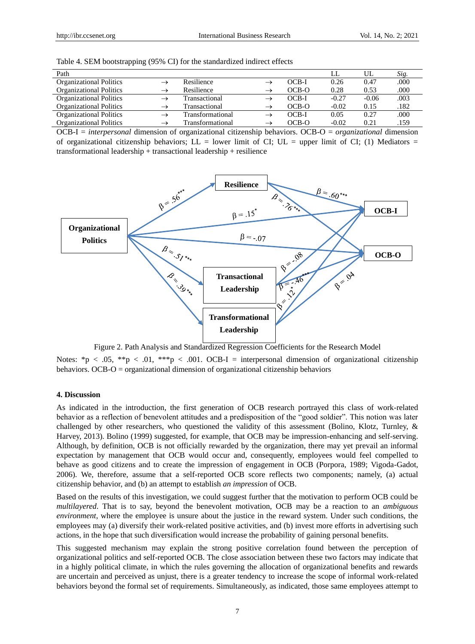| Path                           |               |                  |               |         |         | UL      | Sig. |
|--------------------------------|---------------|------------------|---------------|---------|---------|---------|------|
| <b>Organizational Politics</b> |               | Resilience       |               | OCB-I   | 0.26    | 0.47    | .000 |
| <b>Organizational Politics</b> | $\rightarrow$ | Resilience       | $\rightarrow$ | OCB-O   | 0.28    | 0.53    | .000 |
| <b>Organizational Politics</b> | $\rightarrow$ | Transactional    |               | $OCB-I$ | $-0.27$ | $-0.06$ | .003 |
| <b>Organizational Politics</b> | $\rightarrow$ | Transactional    | $\rightarrow$ | OCB-O   | $-0.02$ | 0.15    | .182 |
| <b>Organizational Politics</b> | $\rightarrow$ | Transformational |               | OCB-I   | 0.05    | 0.27    | .000 |
| <b>Organizational Politics</b> | $\rightarrow$ | Transformational | $\rightarrow$ | $OCB-O$ | $-0.02$ | 0.21    | .159 |

|  |  |  |  |  | Table 4. SEM bootstrapping (95% CI) for the standardized indirect effects |
|--|--|--|--|--|---------------------------------------------------------------------------|
|--|--|--|--|--|---------------------------------------------------------------------------|

OCB-I = *interpersonal* dimension of organizational citizenship behaviors. OCB-O = *organizational* dimension of organizational citizenship behaviors;  $LL =$  lower limit of CI; UL = upper limit of CI; (1) Mediators = transformational leadership + transactional leadership + resilience



Figure 2. Path Analysis and Standardized Regression Coefficients for the Research Model

Notes: \*p < .05, \*\*p < .01, \*\*\*p < .001. OCB-I = interpersonal dimension of organizational citizenship behaviors. OCB-O = organizational dimension of organizational citizenship behaviors

## **4. Discussion**

As indicated in the introduction, the first generation of OCB research portrayed this class of work-related behavior as a reflection of benevolent attitudes and a predisposition of the "good soldier". This notion was later challenged by other researchers, who questioned the validity of this assessment [\(Bolino,](https://onlinelibrary.wiley.com/action/doSearch?ContribAuthorStored=Bolino%2C+Mark+C) Klotz, Turnley, & Harvey, 2013). Bolino (1999) suggested, for example, that OCB may be impression-enhancing and self-serving. Although, by definition, OCB is not officially rewarded by the organization, there may yet prevail an informal expectation by management that OCB would occur and, consequently, employees would feel compelled to behave as good citizens and to create the impression of engagement in OCB (Porpora, 1989; Vigoda-Gadot, 2006). We, therefore, assume that a self-reported OCB score reflects two components; namely, (a) actual citizenship behavior, and (b) an attempt to establish *an impression* of OCB.

Based on the results of this investigation, we could suggest further that the motivation to perform OCB could be *multilayered*. That is to say, beyond the benevolent motivation, OCB may be a reaction to an *ambiguous environment*, where the employee is unsure about the justice in the reward system. Under such conditions, the employees may (a) diversify their work-related positive activities, and (b) invest more efforts in advertising such actions, in the hope that such diversification would increase the probability of gaining personal benefits.

This suggested mechanism may explain the strong positive correlation found between the perception of organizational politics and self-reported OCB. The close association between these two factors may indicate that in a highly political climate, in which the rules governing the allocation of organizational benefits and rewards are uncertain and perceived as unjust, there is a greater tendency to increase the scope of informal work-related behaviors beyond the formal set of requirements. Simultaneously, as indicated, those same employees attempt to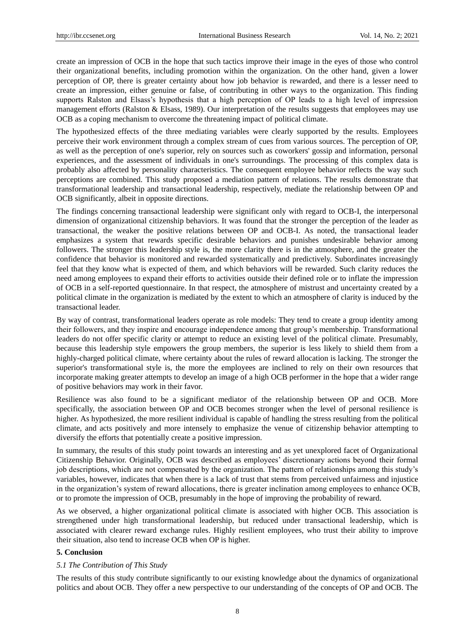create an impression of OCB in the hope that such tactics improve their image in the eyes of those who control their organizational benefits, including promotion within the organization. On the other hand, given a lower perception of OP, there is greater certainty about how job behavior is rewarded, and there is a lesser need to create an impression, either genuine or false, of contributing in other ways to the organization. This finding supports Ralston and Elsass's hypothesis that a high perception of OP leads to a high level of impression management efforts (Ralston & Elsass, 1989). Our interpretation of the results suggests that employees may use OCB as a coping mechanism to overcome the threatening impact of political climate.

The hypothesized effects of the three mediating variables were clearly supported by the results. Employees perceive their work environment through a complex stream of cues from various sources. The perception of OP, as well as the perception of one's superior, rely on sources such as coworkers' gossip and information, personal experiences, and the assessment of individuals in one's surroundings. The processing of this complex data is probably also affected by personality characteristics. The consequent employee behavior reflects the way such perceptions are combined. This study proposed a mediation pattern of relations. The results demonstrate that transformational leadership and transactional leadership, respectively, mediate the relationship between OP and OCB significantly, albeit in opposite directions.

The findings concerning transactional leadership were significant only with regard to OCB-I, the interpersonal dimension of organizational citizenship behaviors. It was found that the stronger the perception of the leader as transactional, the weaker the positive relations between OP and OCB-I. As noted, the transactional leader emphasizes a system that rewards specific desirable behaviors and punishes undesirable behavior among followers. The stronger this leadership style is, the more clarity there is in the atmosphere, and the greater the confidence that behavior is monitored and rewarded systematically and predictively. Subordinates increasingly feel that they know what is expected of them, and which behaviors will be rewarded. Such clarity reduces the need among employees to expand their efforts to activities outside their defined role or to inflate the impression of OCB in a self-reported questionnaire. In that respect, the atmosphere of mistrust and uncertainty created by a political climate in the organization is mediated by the extent to which an atmosphere of clarity is induced by the transactional leader.

By way of contrast, transformational leaders operate as role models: They tend to create a group identity among their followers, and they inspire and encourage independence among that group's membership. Transformational leaders do not offer specific clarity or attempt to reduce an existing level of the political climate. Presumably, because this leadership style empowers the group members, the superior is less likely to shield them from a highly-charged political climate, where certainty about the rules of reward allocation is lacking. The stronger the superior's transformational style is, the more the employees are inclined to rely on their own resources that incorporate making greater attempts to develop an image of a high OCB performer in the hope that a wider range of positive behaviors may work in their favor.

Resilience was also found to be a significant mediator of the relationship between OP and OCB. More specifically, the association between OP and OCB becomes stronger when the level of personal resilience is higher. As hypothesized, the more resilient individual is capable of handling the stress resulting from the political climate, and acts positively and more intensely to emphasize the venue of citizenship behavior attempting to diversify the efforts that potentially create a positive impression.

In summary, the results of this study point towards an interesting and as yet unexplored facet of Organizational Citizenship Behavior. Originally, OCB was described as employees' discretionary actions beyond their formal job descriptions, which are not compensated by the organization. The pattern of relationships among this study's variables, however, indicates that when there is a lack of trust that stems from perceived unfairness and injustice in the organization's system of reward allocations, there is greater inclination among employees to enhance OCB, or to promote the impression of OCB, presumably in the hope of improving the probability of reward.

As we observed, a higher organizational political climate is associated with higher OCB. This association is strengthened under high transformational leadership, but reduced under transactional leadership, which is associated with clearer reward exchange rules. Highly resilient employees, who trust their ability to improve their situation, also tend to increase OCB when OP is higher.

## **5. Conclusion**

## *5.1 The Contribution of This Study*

The results of this study contribute significantly to our existing knowledge about the dynamics of organizational politics and about OCB. They offer a new perspective to our understanding of the concepts of OP and OCB. The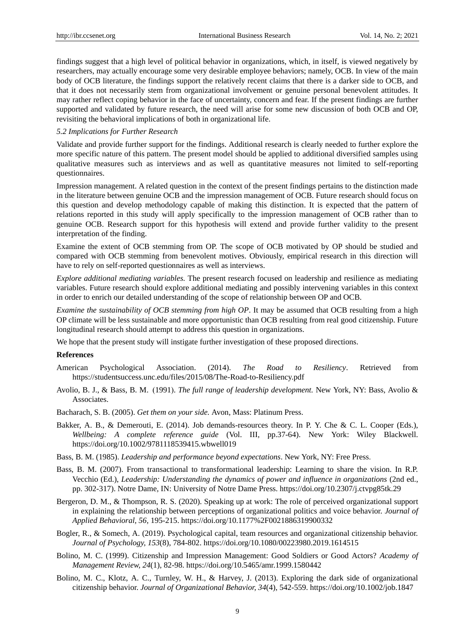findings suggest that a high level of political behavior in organizations, which, in itself, is viewed negatively by researchers, may actually encourage some very desirable employee behaviors; namely, OCB. In view of the main body of OCB literature, the findings support the relatively recent claims that there is a darker side to OCB, and that it does not necessarily stem from organizational involvement or genuine personal benevolent attitudes. It may rather reflect coping behavior in the face of uncertainty, concern and fear. If the present findings are further supported and validated by future research, the need will arise for some new discussion of both OCB and OP, revisiting the behavioral implications of both in organizational life.

## *5.2 Implications for Further Research*

Validate and provide further support for the findings. Additional research is clearly needed to further explore the more specific nature of this pattern. The present model should be applied to additional diversified samples using qualitative measures such as interviews and as well as quantitative measures not limited to self-reporting questionnaires.

Impression management. A related question in the context of the present findings pertains to the distinction made in the literature between genuine OCB and the impression management of OCB. Future research should focus on this question and develop methodology capable of making this distinction. It is expected that the pattern of relations reported in this study will apply specifically to the impression management of OCB rather than to genuine OCB. Research support for this hypothesis will extend and provide further validity to the present interpretation of the finding.

Examine the extent of OCB stemming from OP. The scope of OCB motivated by OP should be studied and compared with OCB stemming from benevolent motives. Obviously, empirical research in this direction will have to rely on self-reported questionnaires as well as interviews.

*Explore additional mediating variables.* The present research focused on leadership and resilience as mediating variables. Future research should explore additional mediating and possibly intervening variables in this context in order to enrich our detailed understanding of the scope of relationship between OP and OCB.

*Examine the sustainability of OCB stemming from high OP*. It may be assumed that OCB resulting from a high OP climate will be less sustainable and more opportunistic than OCB resulting from real good citizenship. Future longitudinal research should attempt to address this question in organizations.

We hope that the present study will instigate further investigation of these proposed directions.

### **References**

- American Psychological Association. (2014). *The Road to Resiliency*. Retrieved from <https://studentsuccess.unc.edu/files/2015/08/The-Road-to-Resiliency.pdf>
- Avolio, B. J., & Bass, B. M. (1991). *The full range of leadership development*. New York, NY: Bass, Avolio & Associates.
- Bacharach, S. B. (2005). *Get them on your side.* Avon, Mass: Platinum Press.
- Bakker, A. B., & Demerouti, E. (2014). Job demands-resources theory. In P. Y. Che & C. L. Cooper (Eds.), *Wellbeing: A complete reference guide* (Vol. III, pp.37-64). New York: Wiley Blackwell. https://doi.org/10.1002/9781118539415.wbwell019
- Bass, B. M. (1985). *Leadership and performance beyond expectations*. New York, NY: Free Press.
- Bass, B. M. (2007). From transactional to transformational leadership: Learning to share the vision. In R.P. Vecchio (Ed.), *Leadership: Understanding the dynamics of power and influence in organizations* (2nd ed., pp. 302-317). Notre Dame, IN: University of Notre Dame Press. https://doi.org/10.2307/j.ctvpg85tk.29
- Bergeron, D. M., & Thompson, R. S. (2020). Speaking up at work: The role of perceived organizational support in explaining the relationship between perceptions of organizational politics and voice behavior. *Journal of Applied Behavioral, 56,* 195-215.<https://doi.org/10.1177%2F0021886319900332>
- Bogler, R., & Somech, A. (2019). Psychological capital, team resources and organizational citizenship behavior. *Journal of Psychology, 153*(8), 784-802.<https://doi.org/10.1080/00223980.2019.1614515>
- Bolino, M. C. (1999). [Citizenship and Impression Management: Good Soldiers or Good Actors?](https://journals.aom.org/doi/full/10.5465/amr.1999.1580442) *[Academy of](https://journals.aom.org/journal/amr)  [Management Review,](https://journals.aom.org/journal/amr) [24](https://journals.aom.org/toc/amr/24/1)*(1), 82-98[. https://doi.org/10.5465/amr.1999.1580442](https://doi.org/10.5465/amr.1999.1580442)
- Bolino, M. C., Klotz, A. C., Turnley, W. H., & Harvey, J. (2013). Exploring the dark side of organizational citizenship behavior. *Journal of Organizational Behavior, 34*(4), 542-559. https://doi.org/10.1002/job.1847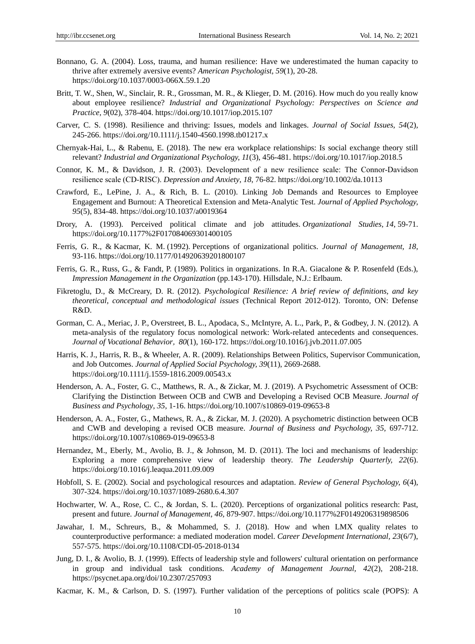- Bonnano, G. A. (2004). Loss, trauma, and human resilience: Have we underestimated the human capacity to thrive after extremely aversive events? *American Psychologist, 59*(1)*,* 20-28. https://doi.org/10.1037/0003-066X.59.1.20
- Britt, T. W., Shen, W., Sinclair, R. R., Grossman, M. R., & Klieger, D. M. (2016). How much do you really know about employee resilience? *Industrial and Organizational Psychology: Perspectives on Science and Practice, 9*(02)*,* 378-404. https://doi.org/10.1017/iop.2015.107
- Carver, C. S. (1998). Resilience and thriving: Issues, models and linkages. *Journal of Social Issues, 54*(2)*,*  245-266. https://doi.org/10.1111/j.1540-4560.1998.tb01217.x
- Chernyak-Hai, L., & Rabenu, E. (2018). The new era workplace relationships: Is social exchange theory still relevant? *Industrial and Organizational Psychology, 11*(3), 456-481[. https://doi.org/10.1017/iop.2018.5](https://doi.org/10.1017/iop.2018.5)
- Connor, K. M., & Davidson, J. R. (2003). Development of a new resilience scale: The Connor‐Davidson resilience scale (CD‐RISC). *Depression and Anxiety*, *18*, 76-82. https://doi.org/10.1002/da.10113
- Crawford, E., LePine, J. A., & Rich, B. L. (2010). Linking Job Demands and Resources to Employee Engagement and Burnout: A Theoretical Extension and Meta-Analytic Test. *Journal of Applied Psychology, 95*(5), 834-48. https://doi.org/10.1037/a0019364
- Drory, A. (1993). Perceived political climate and job attitudes. *Organizational Studies, 14*, 59-71. <https://doi.org/10.1177%2F017084069301400105>
- Ferris, G. R., & Kacmar, K. M. (1992). Perceptions of organizational politics. *Journal of Management, 18*, 93-116. https://doi.org/10.1177/014920639201800107
- Ferris, G. R., Russ, G., & Fandt, P. (1989). Politics in organizations. In R.A. Giacalone & P. Rosenfeld (Eds.), *Impression Management in the Organization* (pp.143-170)*.* Hillsdale, N.J.: Erlbaum.
- Fikretoglu, D., & McCreary, D. R. (2012). *Psychological Resilience: A brief review of definitions, and key theoretical, conceptual and methodological issues* (Technical Report 2012-012). Toronto, ON: Defense R&D.
- Gorman, C. A., Meriac, J. P., Overstreet, B. L., Apodaca, S., McIntyre, A. L., Park, P., & Godbey, J. N. (2012). A meta-analysis of the regulatory focus nomological network: Work-related antecedents and consequences. *Journal of Vocational Behavior*, *80*(1), 160-172.<https://doi.org/10.1016/j.jvb.2011.07.005>
- Harris, K. J., Harris, R. B., & Wheeler, A. R. (2009). Relationships Between Politics, Supervisor Communication, and Job Outcomes. *Journal of Applied Social Psychology, 39*(11), 2669-2688. <https://doi.org/10.1111/j.1559-1816.2009.00543.x>
- Henderson, A. A., Foster, G. C., Matthews, R. A., & Zickar, M. J. (2019). A Psychometric Assessment of OCB: Clarifying the Distinction Between OCB and CWB and Developing a Revised OCB Measure. *Journal of Business and Psychology*, *35*, 1-16.<https://doi.org/10.1007/s10869-019-09653-8>
- Henderson, A. A., Foster, G., Mathews, R. A., & Zickar, M. J. (2020). A psychometric distinction between OCB and CWB and developing a revised OCB measure. *Journal of Business and Psychology, 35,* 697-712. https://doi.org/10.1007/s10869-019-09653-8
- Hernandez, M., Eberly, M., Avolio, B. J., & Johnson, M. D. (2011). The loci and mechanisms of leadership: Exploring a more comprehensive view of leadership theory. *The Leadership Quarterly, 22*(6). https://doi.org/10.1016/j.leaqua.2011.09.009
- Hobfoll, S. E. (2002). Social and psychological resources and adaptation. *Review of General Psychology, 6*(4)*,*  307-324. https://doi.org/10.1037/1089-2680.6.4.307
- Hochwarter, W. A., Rose, C. C., & Jordan, S. L. (2020). Perceptions of organizational politics research: Past, present and future. *Journal of Management, 46,* 879-907[. https://doi.org/10.1177%2F0149206319898506](https://doi.org/10.1177%2F0149206319898506)
- Jawahar, I. M., Schreurs, B., & Mohammed, S. J. (2018). How and when LMX quality relates to counterproductive performance: a mediated moderation model. *Career Development International, 23*(6/7), 557-57[5.](https://doi.org/10.1108/CDI-05-2018-0134) <https://doi.org/10.1108/CDI-05-2018-0134>
- Jung, D. I., & Avolio, B. J. (1999). Effects of leadership style and followers' cultural orientation on performance in group and individual task conditions. *Academy of Management Journal, 42*(2), 208-218. <https://psycnet.apa.org/doi/10.2307/257093>
- Kacmar, K. M., & Carlson, D. S. (1997). Further validation of the perceptions of politics scale (POPS): A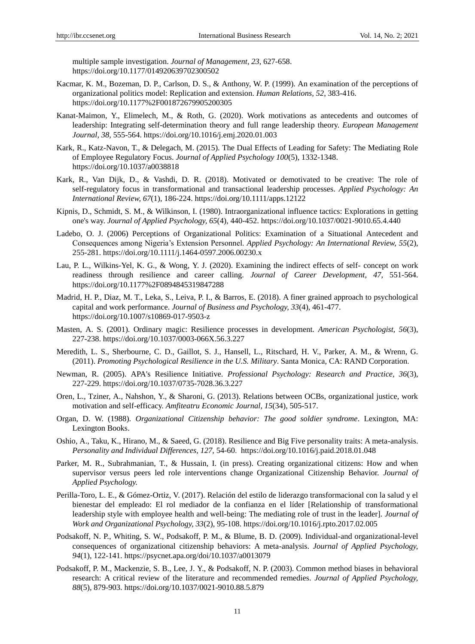multiple sample investigation. *Journal of Management*, *23*, 627-658. https://doi.org/10.1177/014920639702300502

- Kacmar, K. M., Bozeman, D. P., Carlson, D. S., & Anthony, W. P. (1999). An examination of the perceptions of organizational politics model: Replication and extension. *Human Relations, 52*, 383-416. <https://doi.org/10.1177%2F001872679905200305>
- Kanat-Maimon, Y., Elimelech, M., & Roth, G. (2020). Work motivations as antecedents and outcomes of leadership: Integrating self-determination theory and full range leadership theory. *European Management Journal, 38,* 555-564.<https://doi.org/10.1016/j.emj.2020.01.003>
- Kark, R., Katz-Navon, T., & Delegach, M. (2015). The Dual Effects of Leading for Safety: The Mediating Role of Employee Regulatory Focus. *Journal of Applied Psychology 100*(5), 1332-1348. https://doi.org/10.1037/a0038818
- Kark, R., Van Dijk, D., & Vashdi, D. R. (2018). Motivated or demotivated to be creative: The role of self-regulatory focus in transformational and transactional leadership processes. *Applied Psychology: An International Review, 67*(1), 186-224. https://doi.org/10.1111/apps.12122
- Kipnis, D., Schmidt, S. M., & Wilkinson, I. (1980). Intraorganizational influence tactics: Explorations in getting one's way. *Journal of Applied Psychology, 65*(4), 440-452. https://doi.org/10.1037/0021-9010.65.4.440
- Ladebo, O. J. (2006) Perceptions of Organizational Politics: Examination of a Situational Antecedent and Consequences among Nigeria's Extension Personnel. *Applied Psychology: An International Review, 55*(2), 255-281. https://doi.org/10.1111/j.1464-0597.2006.00230.x
- Lau, P. L., Wilkins-Yel, K. G., & Wong, Y. J. (2020). Examining the indirect effects of self- concept on work readiness through resilience and career calling. *Journal of Career Development, 47,* 551-564. <https://doi.org/10.1177%2F0894845319847288>
- Madrid, H. P., Diaz, M. T., Leka, S., Leiva, P. I., & Barros, E. (2018). A finer grained approach to psychological capital and work performance. *Journal of Business and Psychology, 33*(4), 461-477. https://doi.org/10.1007/s10869-017-9503-z
- Masten, A. S. (2001). Ordinary magic: Resilience processes in development*. American Psychologist, 56*(3), 227-238. https://doi.org/10.1037/0003-066X.56.3.227
- Meredith, L. S., Sherbourne, C. D., Gaillot, S. J., Hansell, L., Ritschard, H. V., Parker, A. M., & Wrenn, G. (2011). *Promoting Psychological Resilience in the U.S. Military*. Santa Monica, CA: RAND Corporation.
- Newman, R. (2005). APA's Resilience Initiative. *Professional Psychology: Research and Practice, 36*(3), 227-229. https://doi.org/10.1037/0735-7028.36.3.227
- Oren, L., Tziner, A., Nahshon, Y., & Sharoni, G. (2013). Relations between OCBs, organizational justice, work motivation and self-efficacy. *Amfiteatru Economic Journal, 15*(34), 505-517.
- Organ, D. W. (1988). *Organizational Citizenship behavior: The good soldier syndrome*. Lexington, MA: Lexington Books.
- Oshio, A., Taku, K., Hirano, M., & Saeed, G. (2018). Resilience and Big Five personality traits: A meta-analysis. *Personality and Individual Differences, 127*, 54-60. https://doi.org/10.1016/j.paid.2018.01.048
- Parker, M. R., Subrahmanian, T., & Hussain, I. (in press). Creating organizational citizens: How and when supervisor versus peers led role interventions change Organizational Citizenship Behavior. *Journal of Applied Psychology.*
- Perilla-Toro, L. E., & Gómez-Ortiz, V. (2017). Relación del estilo de liderazgo transformacional con la salud y el bienestar del empleado: El rol mediador de la confianza en el líder [Relationship of transformational leadership style with employee health and well-being: The mediating role of trust in the leader]. *Journal of Work and Organizational Psychology, 33*(2), 95-108.<https://doi.org/10.1016/j.rpto.2017.02.005>
- Podsakoff, N. P., Whiting, S. W., Podsakoff, P. M., & Blume, B. D. (2009). Individual-and organizational-level consequences of organizational citizenship behaviors: A meta-analysis. *Journal of Applied Psychology, 94*(1), 122-141.<https://psycnet.apa.org/doi/10.1037/a0013079>
- Podsakoff, P. M., Mackenzie, S. B., Lee, J. Y., & Podsakoff, N. P. (2003). Common method biases in behavioral research: A critical review of the literature and recommended remedies. *Journal of Applied Psychology, 88*(5), 879-903. https://doi.org/10.1037/0021-9010.88.5.879